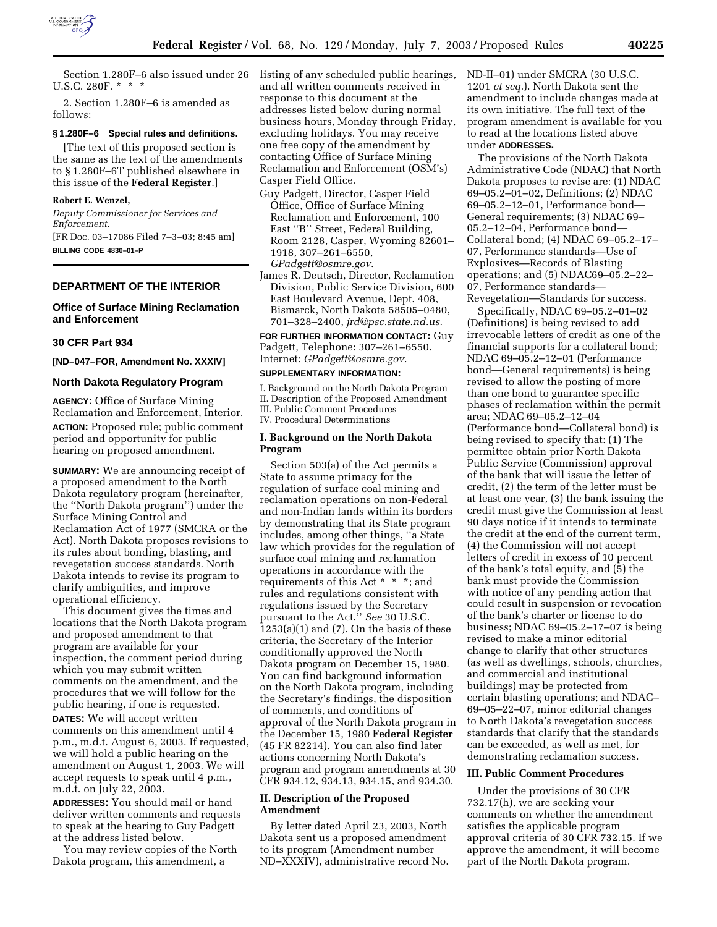

Section 1.280F–6 also issued under 26 U.S.C. 280F. \* \* \*

2. Section 1.280F–6 is amended as follows:

# **§ 1.280F–6 Special rules and definitions.**

[The text of this proposed section is the same as the text of the amendments to § 1.280F–6T published elsewhere in this issue of the **Federal Register**.]

# **Robert E. Wenzel,**

*Deputy Commissioner for Services and Enforcement.* [FR Doc. 03–17086 Filed 7–3–03; 8:45 am] **BILLING CODE 4830–01–P**

#### **DEPARTMENT OF THE INTERIOR**

## **Office of Surface Mining Reclamation and Enforcement**

#### **30 CFR Part 934**

**[ND–047–FOR, Amendment No. XXXIV]** 

#### **North Dakota Regulatory Program**

**AGENCY:** Office of Surface Mining Reclamation and Enforcement, Interior. **ACTION:** Proposed rule; public comment period and opportunity for public hearing on proposed amendment.

**SUMMARY:** We are announcing receipt of a proposed amendment to the North Dakota regulatory program (hereinafter, the ''North Dakota program'') under the Surface Mining Control and Reclamation Act of 1977 (SMCRA or the Act). North Dakota proposes revisions to its rules about bonding, blasting, and revegetation success standards. North Dakota intends to revise its program to clarify ambiguities, and improve operational efficiency.

This document gives the times and locations that the North Dakota program and proposed amendment to that program are available for your inspection, the comment period during which you may submit written comments on the amendment, and the procedures that we will follow for the public hearing, if one is requested.

**DATES:** We will accept written comments on this amendment until 4 p.m., m.d.t. August 6, 2003. If requested, we will hold a public hearing on the amendment on August 1, 2003. We will accept requests to speak until 4 p.m., m.d.t. on July 22, 2003.

**ADDRESSES:** You should mail or hand deliver written comments and requests to speak at the hearing to Guy Padgett at the address listed below.

You may review copies of the North Dakota program, this amendment, a

listing of any scheduled public hearings, and all written comments received in response to this document at the addresses listed below during normal business hours, Monday through Friday, excluding holidays. You may receive one free copy of the amendment by contacting Office of Surface Mining Reclamation and Enforcement (OSM's) Casper Field Office.

- Guy Padgett, Director, Casper Field Office, Office of Surface Mining Reclamation and Enforcement, 100 East ''B'' Street, Federal Building, Room 2128, Casper, Wyoming 82601– 1918, 307–261–6550, *GPadgett@osmre.gov*.
- James R. Deutsch, Director, Reclamation Division, Public Service Division, 600 East Boulevard Avenue, Dept. 408, Bismarck, North Dakota 58505–0480, 701–328–2400, *jrd@psc.state.nd.us*.

**FOR FURTHER INFORMATION CONTACT:** Guy Padgett, Telephone: 307–261–6550. Internet: *GPadgett@osmre.gov*.

#### **SUPPLEMENTARY INFORMATION:**

I. Background on the North Dakota Program II. Description of the Proposed Amendment III. Public Comment Procedures IV. Procedural Determinations

#### **I. Background on the North Dakota Program**

Section 503(a) of the Act permits a State to assume primacy for the regulation of surface coal mining and reclamation operations on non-Federal and non-Indian lands within its borders by demonstrating that its State program includes, among other things, ''a State law which provides for the regulation of surface coal mining and reclamation operations in accordance with the requirements of this Act \* \* \*; and rules and regulations consistent with regulations issued by the Secretary pursuant to the Act.'' *See* 30 U.S.C.  $1253(a)(1)$  and  $(7)$ . On the basis of these criteria, the Secretary of the Interior conditionally approved the North Dakota program on December 15, 1980. You can find background information on the North Dakota program, including the Secretary's findings, the disposition of comments, and conditions of approval of the North Dakota program in the December 15, 1980 **Federal Register** (45 FR 82214). You can also find later actions concerning North Dakota's program and program amendments at 30 CFR 934.12, 934.13, 934.15, and 934.30.

#### **II. Description of the Proposed Amendment**

By letter dated April 23, 2003, North Dakota sent us a proposed amendment to its program (Amendment number ND–XXXIV), administrative record No.

ND-II–01) under SMCRA (30 U.S.C. 1201 *et seq.*). North Dakota sent the amendment to include changes made at its own initiative. The full text of the program amendment is available for you to read at the locations listed above under **ADDRESSES.**

The provisions of the North Dakota Administrative Code (NDAC) that North Dakota proposes to revise are: (1) NDAC 69–05.2–01–02, Definitions; (2) NDAC 69–05.2–12–01, Performance bond— General requirements; (3) NDAC 69– 05.2–12–04, Performance bond— Collateral bond; (4) NDAC 69–05.2–17– 07, Performance standards—Use of Explosives—Records of Blasting operations; and (5) NDAC69–05.2–22– 07, Performance standards— Revegetation—Standards for success.

Specifically, NDAC 69–05.2–01–02 (Definitions) is being revised to add irrevocable letters of credit as one of the financial supports for a collateral bond; NDAC 69–05.2–12–01 (Performance bond—General requirements) is being revised to allow the posting of more than one bond to guarantee specific phases of reclamation within the permit area; NDAC 69–05.2–12–04 (Performance bond—Collateral bond) is being revised to specify that: (1) The permittee obtain prior North Dakota Public Service (Commission) approval of the bank that will issue the letter of credit, (2) the term of the letter must be at least one year, (3) the bank issuing the credit must give the Commission at least 90 days notice if it intends to terminate the credit at the end of the current term, (4) the Commission will not accept letters of credit in excess of 10 percent of the bank's total equity, and (5) the bank must provide the Commission with notice of any pending action that could result in suspension or revocation of the bank's charter or license to do business; NDAC 69–05.2–17–07 is being revised to make a minor editorial change to clarify that other structures (as well as dwellings, schools, churches, and commercial and institutional buildings) may be protected from certain blasting operations; and NDAC– 69–05–22–07, minor editorial changes to North Dakota's revegetation success standards that clarify that the standards can be exceeded, as well as met, for demonstrating reclamation success.

#### **III. Public Comment Procedures**

Under the provisions of 30 CFR 732.17(h), we are seeking your comments on whether the amendment satisfies the applicable program approval criteria of 30 CFR 732.15. If we approve the amendment, it will become part of the North Dakota program.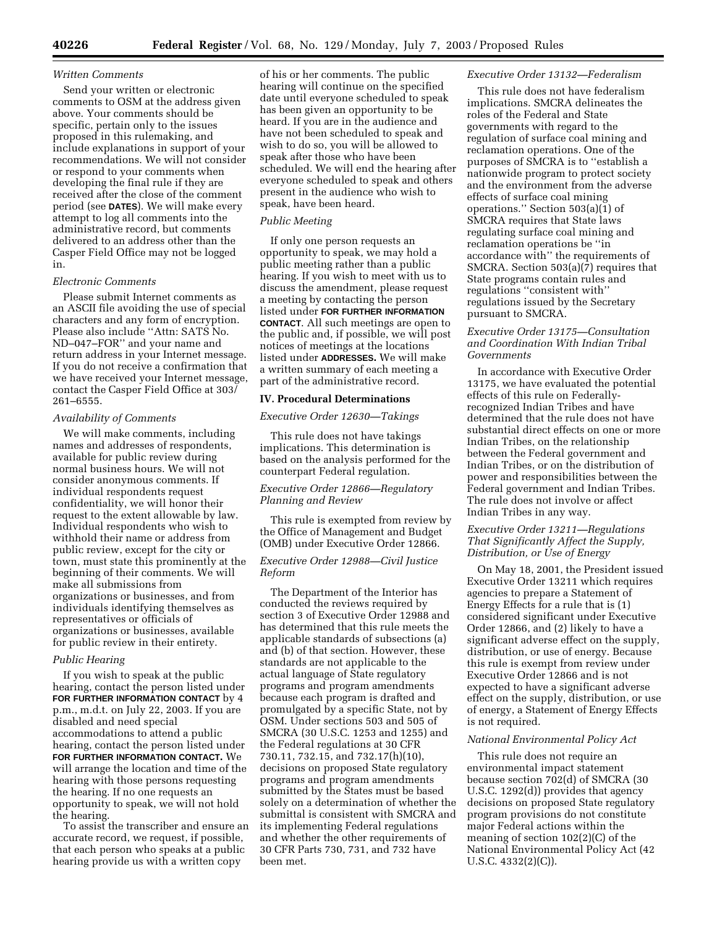#### *Written Comments*

Send your written or electronic comments to OSM at the address given above. Your comments should be specific, pertain only to the issues proposed in this rulemaking, and include explanations in support of your recommendations. We will not consider or respond to your comments when developing the final rule if they are received after the close of the comment period (see **DATES**). We will make every attempt to log all comments into the administrative record, but comments delivered to an address other than the Casper Field Office may not be logged in.

# *Electronic Comments*

Please submit Internet comments as an ASCII file avoiding the use of special characters and any form of encryption. Please also include ''Attn: SATS No. ND–047–FOR'' and your name and return address in your Internet message. If you do not receive a confirmation that we have received your Internet message, contact the Casper Field Office at 303/ 261–6555.

#### *Availability of Comments*

We will make comments, including names and addresses of respondents, available for public review during normal business hours. We will not consider anonymous comments. If individual respondents request confidentiality, we will honor their request to the extent allowable by law. Individual respondents who wish to withhold their name or address from public review, except for the city or town, must state this prominently at the beginning of their comments. We will make all submissions from organizations or businesses, and from individuals identifying themselves as representatives or officials of organizations or businesses, available for public review in their entirety.

#### *Public Hearing*

If you wish to speak at the public hearing, contact the person listed under **FOR FURTHER INFORMATION CONTACT** by 4 p.m., m.d.t. on July 22, 2003. If you are disabled and need special accommodations to attend a public hearing, contact the person listed under **FOR FURTHER INFORMATION CONTACT.** We will arrange the location and time of the hearing with those persons requesting the hearing. If no one requests an opportunity to speak, we will not hold the hearing.

To assist the transcriber and ensure an accurate record, we request, if possible, that each person who speaks at a public hearing provide us with a written copy

of his or her comments. The public hearing will continue on the specified date until everyone scheduled to speak has been given an opportunity to be heard. If you are in the audience and have not been scheduled to speak and wish to do so, you will be allowed to speak after those who have been scheduled. We will end the hearing after everyone scheduled to speak and others present in the audience who wish to speak, have been heard.

#### *Public Meeting*

If only one person requests an opportunity to speak, we may hold a public meeting rather than a public hearing. If you wish to meet with us to discuss the amendment, please request a meeting by contacting the person listed under **FOR FURTHER INFORMATION CONTACT**. All such meetings are open to the public and, if possible, we will post notices of meetings at the locations listed under **ADDRESSES.** We will make a written summary of each meeting a part of the administrative record.

#### **IV. Procedural Determinations**

#### *Executive Order 12630—Takings*

This rule does not have takings implications. This determination is based on the analysis performed for the counterpart Federal regulation.

# *Executive Order 12866—Regulatory Planning and Review*

This rule is exempted from review by the Office of Management and Budget (OMB) under Executive Order 12866.

#### *Executive Order 12988—Civil Justice Reform*

The Department of the Interior has conducted the reviews required by section 3 of Executive Order 12988 and has determined that this rule meets the applicable standards of subsections (a) and (b) of that section. However, these standards are not applicable to the actual language of State regulatory programs and program amendments because each program is drafted and promulgated by a specific State, not by OSM. Under sections 503 and 505 of SMCRA (30 U.S.C. 1253 and 1255) and the Federal regulations at 30 CFR 730.11, 732.15, and 732.17(h)(10), decisions on proposed State regulatory programs and program amendments submitted by the States must be based solely on a determination of whether the submittal is consistent with SMCRA and its implementing Federal regulations and whether the other requirements of 30 CFR Parts 730, 731, and 732 have been met.

#### *Executive Order 13132—Federalism*

This rule does not have federalism implications. SMCRA delineates the roles of the Federal and State governments with regard to the regulation of surface coal mining and reclamation operations. One of the purposes of SMCRA is to ''establish a nationwide program to protect society and the environment from the adverse effects of surface coal mining operations.'' Section 503(a)(1) of SMCRA requires that State laws regulating surface coal mining and reclamation operations be ''in accordance with'' the requirements of SMCRA. Section 503(a)(7) requires that State programs contain rules and regulations ''consistent with'' regulations issued by the Secretary pursuant to SMCRA.

#### *Executive Order 13175—Consultation and Coordination With Indian Tribal Governments*

In accordance with Executive Order 13175, we have evaluated the potential effects of this rule on Federallyrecognized Indian Tribes and have determined that the rule does not have substantial direct effects on one or more Indian Tribes, on the relationship between the Federal government and Indian Tribes, or on the distribution of power and responsibilities between the Federal government and Indian Tribes. The rule does not involve or affect Indian Tribes in any way.

## *Executive Order 13211—Regulations That Significantly Affect the Supply, Distribution, or Use of Energy*

On May 18, 2001, the President issued Executive Order 13211 which requires agencies to prepare a Statement of Energy Effects for a rule that is (1) considered significant under Executive Order 12866, and (2) likely to have a significant adverse effect on the supply, distribution, or use of energy. Because this rule is exempt from review under Executive Order 12866 and is not expected to have a significant adverse effect on the supply, distribution, or use of energy, a Statement of Energy Effects is not required.

## *National Environmental Policy Act*

This rule does not require an environmental impact statement because section 702(d) of SMCRA (30 U.S.C. 1292(d)) provides that agency decisions on proposed State regulatory program provisions do not constitute major Federal actions within the meaning of section 102(2)(C) of the National Environmental Policy Act (42 U.S.C. 4332(2)(C)).